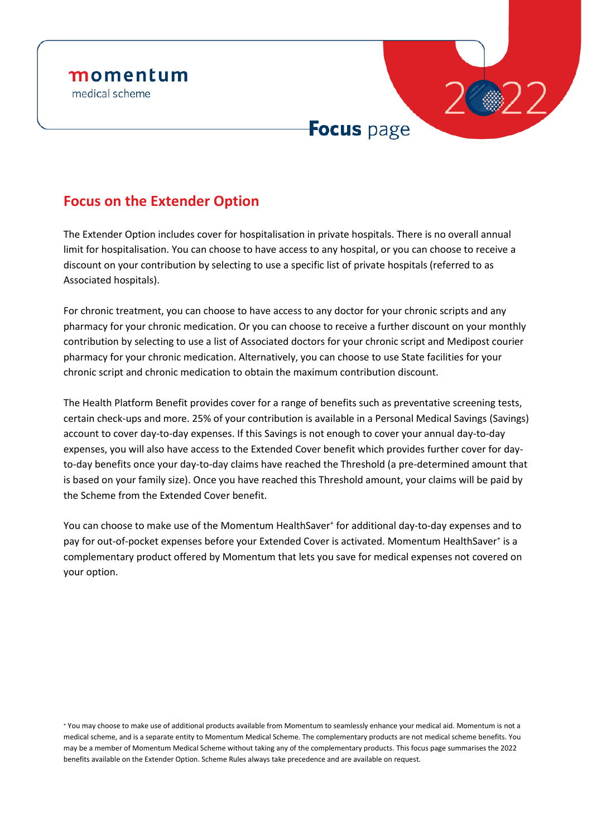

## **Focus on the Extender Option**

The Extender Option includes cover for hospitalisation in private hospitals. There is no overall annual limit for hospitalisation. You can choose to have access to any hospital, or you can choose to receive a discount on your contribution by selecting to use a specific list of private hospitals (referred to as Associated hospitals).

For chronic treatment, you can choose to have access to any doctor for your chronic scripts and any pharmacy for your chronic medication. Or you can choose to receive a further discount on your monthly contribution by selecting to use a list of Associated doctors for your chronic script and Medipost courier pharmacy for your chronic medication. Alternatively, you can choose to use State facilities for your chronic script and chronic medication to obtain the maximum contribution discount.

The Health Platform Benefit provides cover for a range of benefits such as preventative screening tests, certain check-ups and more. 25% of your contribution is available in a Personal Medical Savings (Savings) account to cover day-to-day expenses. If this Savings is not enough to cover your annual day-to-day expenses, you will also have access to the Extended Cover benefit which provides further cover for dayto-day benefits once your day-to-day claims have reached the Threshold (a pre-determined amount that is based on your family size). Once you have reached this Threshold amount, your claims will be paid by the Scheme from the Extended Cover benefit.

You can choose to make use of the Momentum HealthSaver<sup>+</sup> for additional day-to-day expenses and to pay for out-of-pocket expenses before your Extended Cover is activated. Momentum HealthSaver<sup>+</sup> is a complementary product offered by Momentum that lets you save for medical expenses not covered on your option.

<sup>+</sup> You may choose to make use of additional products available from Momentum to seamlessly enhance your medical aid. Momentum is not a medical scheme, and is a separate entity to Momentum Medical Scheme. The complementary products are not medical scheme benefits. You may be a member of Momentum Medical Scheme without taking any of the complementary products. This focus page summarises the 2022 benefits available on the Extender Option. Scheme Rules always take precedence and are available on request.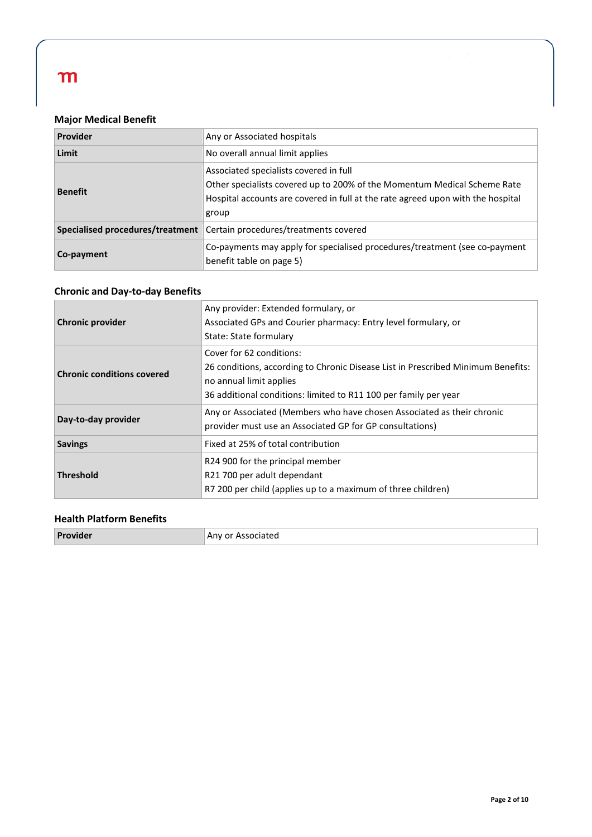### **Major Medical Benefit**

| Provider                         | Any or Associated hospitals                                                                                                                                                                                    |  |  |
|----------------------------------|----------------------------------------------------------------------------------------------------------------------------------------------------------------------------------------------------------------|--|--|
| Limit                            | No overall annual limit applies                                                                                                                                                                                |  |  |
| <b>Benefit</b>                   | Associated specialists covered in full<br>Other specialists covered up to 200% of the Momentum Medical Scheme Rate<br>Hospital accounts are covered in full at the rate agreed upon with the hospital<br>group |  |  |
| Specialised procedures/treatment | Certain procedures/treatments covered                                                                                                                                                                          |  |  |
| Co-payment                       | Co-payments may apply for specialised procedures/treatment (see co-payment<br>benefit table on page 5)                                                                                                         |  |  |

### **Chronic and Day-to-day Benefits**

| <b>Chronic provider</b>                              | Any provider: Extended formulary, or<br>Associated GPs and Courier pharmacy: Entry level formulary, or<br>State: State formulary                                                                            |
|------------------------------------------------------|-------------------------------------------------------------------------------------------------------------------------------------------------------------------------------------------------------------|
| <b>Chronic conditions covered</b>                    | Cover for 62 conditions:<br>26 conditions, according to Chronic Disease List in Prescribed Minimum Benefits:<br>no annual limit applies<br>36 additional conditions: limited to R11 100 per family per year |
| Day-to-day provider                                  | Any or Associated (Members who have chosen Associated as their chronic<br>provider must use an Associated GP for GP consultations)                                                                          |
| <b>Savings</b><br>Fixed at 25% of total contribution |                                                                                                                                                                                                             |
| <b>Threshold</b>                                     | R24 900 for the principal member<br>R21 700 per adult dependant<br>R7 200 per child (applies up to a maximum of three children)                                                                             |

### **Health Platform Benefits**

| Provider | Any or Associated |
|----------|-------------------|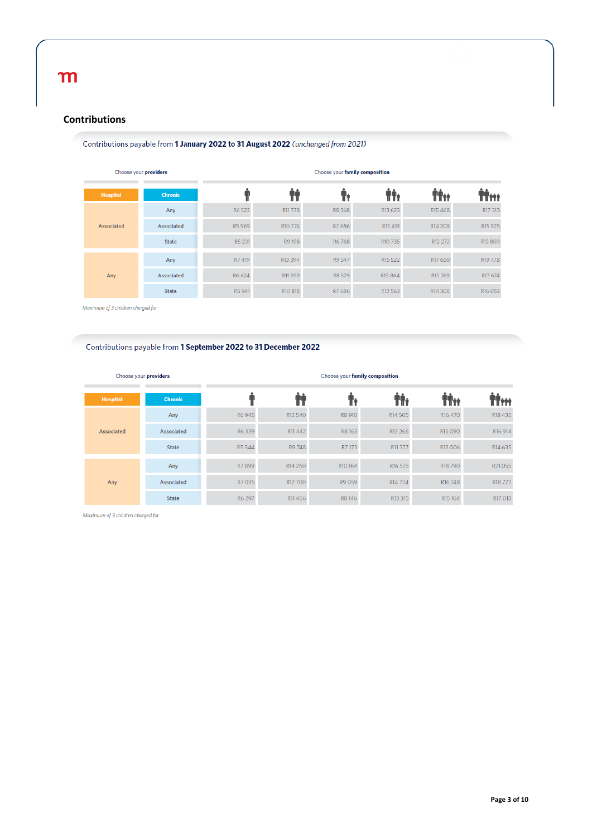#### **Contributions**

#### Contributions payable from 1 January 2022 to 31 August 2022 (unchanged from 2021)

| Choose your providers |                | Choose your family composition |                     |        |                     |                     |                     |
|-----------------------|----------------|--------------------------------|---------------------|--------|---------------------|---------------------|---------------------|
| <b>Hospital</b>       | <b>Chronic</b> |                                |                     |        |                     | T÷                  | 'nŕ                 |
| Associated            | Any            | R6 523                         | R11778              | R8 368 | R13 623             | R <sub>15</sub> 468 | R17 313             |
|                       | Associated     | R5969                          | R <sub>10</sub> 774 | R7 686 | R12 491             | R <sub>14</sub> 208 | R <sub>15</sub> 925 |
|                       | State          | R5 231                         | R9 198              | R6 768 | R10 735             | R12 272             | R13809              |
| Any                   | Any            | R7 419                         | R13 394             | R9 547 | R <sub>15</sub> 522 | R17 650             | R <sub>19</sub> 778 |
|                       | Associated     | R6 624                         | R11959              | R8 529 | R13 864             | R <sub>15</sub> 769 | R17 674             |
|                       | <b>State</b>   | R5 941                         | R <sub>10</sub> 818 | R7 686 | R12 563             | R14 308             | R <sub>16</sub> 053 |

Maximum of 3 children charged for

#### Contributions payable from 1 September 2022 to 31 December 2022

| Choose your providers |                | Choose your family composition |                     |                     |                     |                     |                     |
|-----------------------|----------------|--------------------------------|---------------------|---------------------|---------------------|---------------------|---------------------|
| <b>Hospital</b>       | <b>Chronic</b> |                                |                     |                     | lî:                 | ŤŤĦ                 | Titt                |
| Associated            | Any            | R6945                          | R12 540             | R8 910              | R <sub>14</sub> 505 | R <sub>16</sub> 470 | R18 435             |
|                       | Associated     | R6339                          | R11 442             | R8163               | R13 266             | R <sub>15</sub> 090 | R <sub>16</sub> 914 |
|                       | <b>State</b>   | R5 544                         | R9 748              | R7 173              | R11 377             | R13006              | R14 635             |
| Any                   | Any            | R7 899                         | R <sub>14</sub> 260 | R <sub>10</sub> 164 | R <sub>16</sub> 525 | R <sub>18</sub> 790 | R21055              |
|                       | Associated     | R7 035                         | R12 700             | R9 059              | R <sub>14</sub> 724 | R <sub>16</sub> 748 | R <sub>18</sub> 772 |
|                       | <b>State</b>   | R6 297                         | R11466              | R8146               | R13 315             | R <sub>15</sub> 164 | R17 013             |

Maximum of 3 children charged for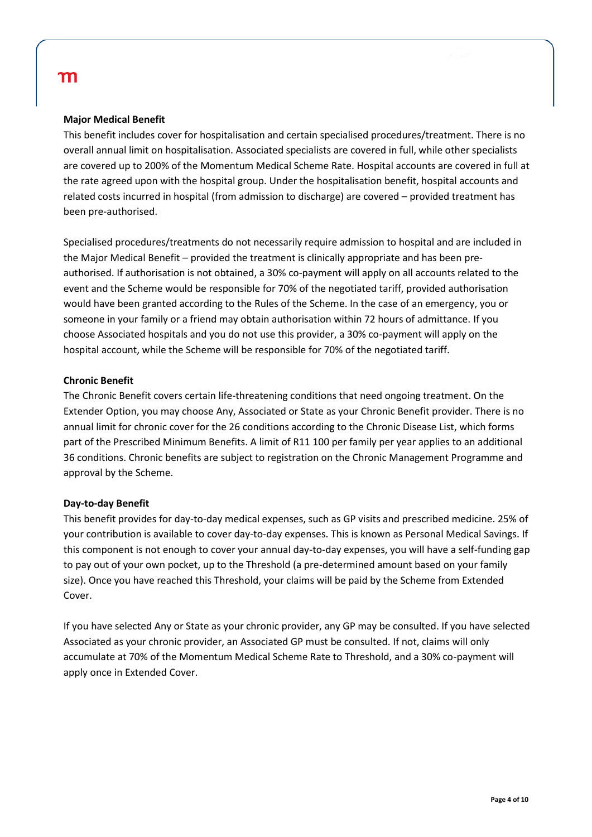#### **Major Medical Benefit**

This benefit includes cover for hospitalisation and certain specialised procedures/treatment. There is no overall annual limit on hospitalisation. Associated specialists are covered in full, while other specialists are covered up to 200% of the Momentum Medical Scheme Rate. Hospital accounts are covered in full at the rate agreed upon with the hospital group. Under the hospitalisation benefit, hospital accounts and related costs incurred in hospital (from admission to discharge) are covered – provided treatment has been pre-authorised.

Specialised procedures/treatments do not necessarily require admission to hospital and are included in the Major Medical Benefit – provided the treatment is clinically appropriate and has been preauthorised. If authorisation is not obtained, a 30% co-payment will apply on all accounts related to the event and the Scheme would be responsible for 70% of the negotiated tariff, provided authorisation would have been granted according to the Rules of the Scheme. In the case of an emergency, you or someone in your family or a friend may obtain authorisation within 72 hours of admittance. If you choose Associated hospitals and you do not use this provider, a 30% co-payment will apply on the hospital account, while the Scheme will be responsible for 70% of the negotiated tariff.

#### **Chronic Benefit**

The Chronic Benefit covers certain life-threatening conditions that need ongoing treatment. On the Extender Option, you may choose Any, Associated or State as your Chronic Benefit provider. There is no annual limit for chronic cover for the 26 conditions according to the Chronic Disease List, which forms part of the Prescribed Minimum Benefits. A limit of R11 100 per family per year applies to an additional 36 conditions. Chronic benefits are subject to registration on the Chronic Management Programme and approval by the Scheme.

#### **Day-to-day Benefit**

This benefit provides for day-to-day medical expenses, such as GP visits and prescribed medicine. 25% of your contribution is available to cover day-to-day expenses. This is known as Personal Medical Savings. If this component is not enough to cover your annual day-to-day expenses, you will have a self-funding gap to pay out of your own pocket, up to the Threshold (a pre-determined amount based on your family size). Once you have reached this Threshold, your claims will be paid by the Scheme from Extended Cover.

If you have selected Any or State as your chronic provider, any GP may be consulted. If you have selected Associated as your chronic provider, an Associated GP must be consulted. If not, claims will only accumulate at 70% of the Momentum Medical Scheme Rate to Threshold, and a 30% co-payment will apply once in Extended Cover.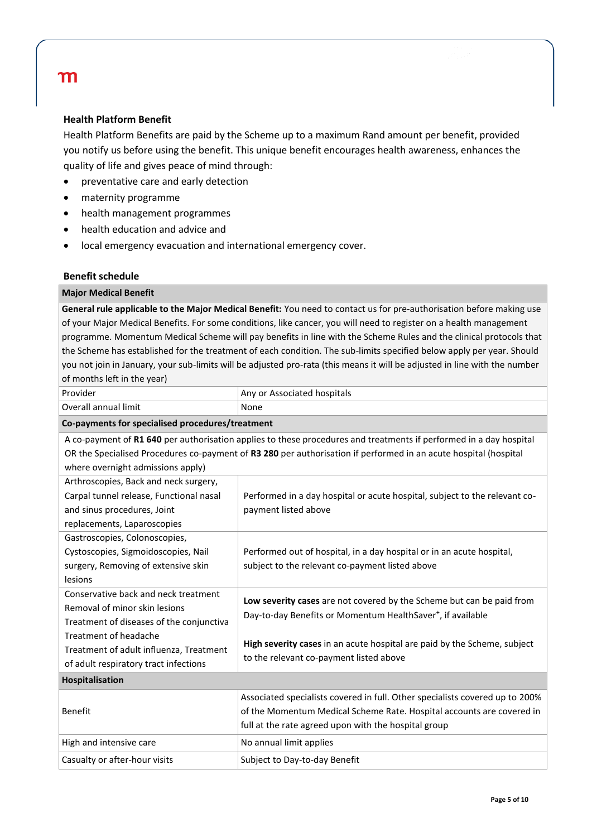#### **Health Platform Benefit**

Health Platform Benefits are paid by the Scheme up to a maximum Rand amount per benefit, provided you notify us before using the benefit. This unique benefit encourages health awareness, enhances the quality of life and gives peace of mind through:

- preventative care and early detection
- maternity programme
- health management programmes
- health education and advice and
- local emergency evacuation and international emergency cover.

#### **Benefit schedule**

#### **Major Medical Benefit**

**General rule applicable to the Major Medical Benefit:** You need to contact us for pre-authorisation before making use of your Major Medical Benefits. For some conditions, like cancer, you will need to register on a health management programme. Momentum Medical Scheme will pay benefits in line with the Scheme Rules and the clinical protocols that the Scheme has established for the treatment of each condition. The sub-limits specified below apply per year. Should you not join in January, your sub-limits will be adjusted pro-rata (this means it will be adjusted in line with the number of months left in the year)

| Provider                                         | Any or Associated hospitals                                                                                        |  |  |  |
|--------------------------------------------------|--------------------------------------------------------------------------------------------------------------------|--|--|--|
| Overall annual limit                             | None                                                                                                               |  |  |  |
| Co-payments for specialised procedures/treatment |                                                                                                                    |  |  |  |
|                                                  | A co-payment of R1 640 per authorisation applies to these procedures and treatments if performed in a day hospital |  |  |  |
|                                                  | OR the Specialised Procedures co-payment of R3 280 per authorisation if performed in an acute hospital (hospital   |  |  |  |
| where overnight admissions apply)                |                                                                                                                    |  |  |  |
| Arthroscopies, Back and neck surgery,            |                                                                                                                    |  |  |  |
| Carpal tunnel release, Functional nasal          | Performed in a day hospital or acute hospital, subject to the relevant co-                                         |  |  |  |
| and sinus procedures, Joint                      | payment listed above                                                                                               |  |  |  |
| replacements, Laparoscopies                      |                                                                                                                    |  |  |  |
| Gastroscopies, Colonoscopies,                    |                                                                                                                    |  |  |  |
| Cystoscopies, Sigmoidoscopies, Nail              | Performed out of hospital, in a day hospital or in an acute hospital,                                              |  |  |  |
| surgery, Removing of extensive skin              | subject to the relevant co-payment listed above                                                                    |  |  |  |
| lesions                                          |                                                                                                                    |  |  |  |
| Conservative back and neck treatment             | Low severity cases are not covered by the Scheme but can be paid from                                              |  |  |  |
| Removal of minor skin lesions                    | Day-to-day Benefits or Momentum HealthSaver <sup>+</sup> , if available                                            |  |  |  |
| Treatment of diseases of the conjunctiva         |                                                                                                                    |  |  |  |
| Treatment of headache                            | High severity cases in an acute hospital are paid by the Scheme, subject                                           |  |  |  |
| Treatment of adult influenza, Treatment          | to the relevant co-payment listed above                                                                            |  |  |  |
| of adult respiratory tract infections            |                                                                                                                    |  |  |  |
| Hospitalisation                                  |                                                                                                                    |  |  |  |
|                                                  | Associated specialists covered in full. Other specialists covered up to 200%                                       |  |  |  |
| <b>Benefit</b>                                   | of the Momentum Medical Scheme Rate. Hospital accounts are covered in                                              |  |  |  |
|                                                  | full at the rate agreed upon with the hospital group                                                               |  |  |  |
| High and intensive care                          | No annual limit applies                                                                                            |  |  |  |
| Casualty or after-hour visits                    | Subject to Day-to-day Benefit                                                                                      |  |  |  |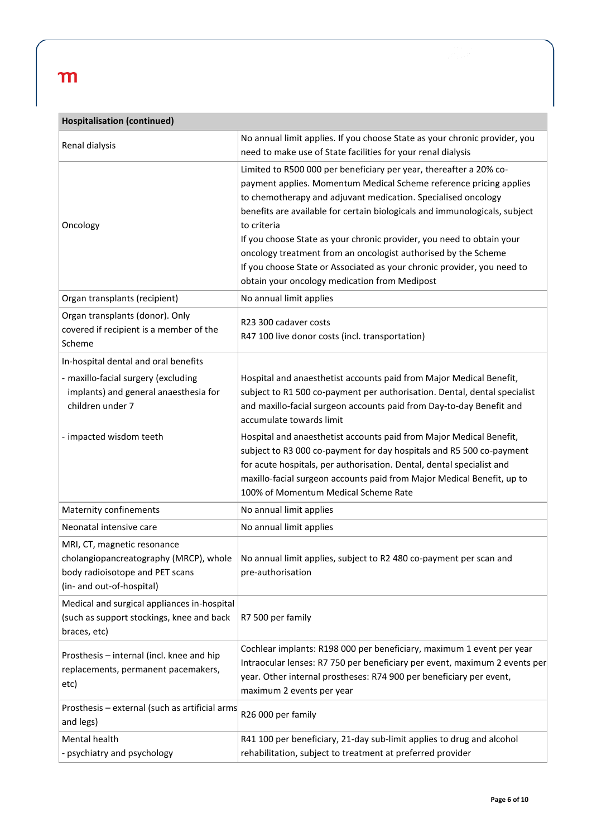| <b>Hospitalisation (continued)</b>                                                                                                    |                                                                                                                                                                                                                                                                                                                                                                                                                                                                                                                                                                               |  |  |  |
|---------------------------------------------------------------------------------------------------------------------------------------|-------------------------------------------------------------------------------------------------------------------------------------------------------------------------------------------------------------------------------------------------------------------------------------------------------------------------------------------------------------------------------------------------------------------------------------------------------------------------------------------------------------------------------------------------------------------------------|--|--|--|
| Renal dialysis                                                                                                                        | No annual limit applies. If you choose State as your chronic provider, you<br>need to make use of State facilities for your renal dialysis                                                                                                                                                                                                                                                                                                                                                                                                                                    |  |  |  |
| Oncology                                                                                                                              | Limited to R500 000 per beneficiary per year, thereafter a 20% co-<br>payment applies. Momentum Medical Scheme reference pricing applies<br>to chemotherapy and adjuvant medication. Specialised oncology<br>benefits are available for certain biologicals and immunologicals, subject<br>to criteria<br>If you choose State as your chronic provider, you need to obtain your<br>oncology treatment from an oncologist authorised by the Scheme<br>If you choose State or Associated as your chronic provider, you need to<br>obtain your oncology medication from Medipost |  |  |  |
| Organ transplants (recipient)                                                                                                         | No annual limit applies                                                                                                                                                                                                                                                                                                                                                                                                                                                                                                                                                       |  |  |  |
| Organ transplants (donor). Only<br>covered if recipient is a member of the<br>Scheme                                                  | R23 300 cadaver costs<br>R47 100 live donor costs (incl. transportation)                                                                                                                                                                                                                                                                                                                                                                                                                                                                                                      |  |  |  |
| In-hospital dental and oral benefits                                                                                                  |                                                                                                                                                                                                                                                                                                                                                                                                                                                                                                                                                                               |  |  |  |
| - maxillo-facial surgery (excluding<br>implants) and general anaesthesia for<br>children under 7                                      | Hospital and anaesthetist accounts paid from Major Medical Benefit,<br>subject to R1 500 co-payment per authorisation. Dental, dental specialist<br>and maxillo-facial surgeon accounts paid from Day-to-day Benefit and<br>accumulate towards limit                                                                                                                                                                                                                                                                                                                          |  |  |  |
| - impacted wisdom teeth                                                                                                               | Hospital and anaesthetist accounts paid from Major Medical Benefit,<br>subject to R3 000 co-payment for day hospitals and R5 500 co-payment<br>for acute hospitals, per authorisation. Dental, dental specialist and<br>maxillo-facial surgeon accounts paid from Major Medical Benefit, up to<br>100% of Momentum Medical Scheme Rate                                                                                                                                                                                                                                        |  |  |  |
| Maternity confinements                                                                                                                | No annual limit applies                                                                                                                                                                                                                                                                                                                                                                                                                                                                                                                                                       |  |  |  |
| Neonatal intensive care                                                                                                               | No annual limit applies                                                                                                                                                                                                                                                                                                                                                                                                                                                                                                                                                       |  |  |  |
| MRI, CT, magnetic resonance<br>cholangiopancreatography (MRCP), whole<br>body radioisotope and PET scans<br>(in- and out-of-hospital) | No annual limit applies, subject to R2 480 co-payment per scan and<br>pre-authorisation                                                                                                                                                                                                                                                                                                                                                                                                                                                                                       |  |  |  |
| Medical and surgical appliances in-hospital<br>(such as support stockings, knee and back<br>braces, etc)                              | R7 500 per family                                                                                                                                                                                                                                                                                                                                                                                                                                                                                                                                                             |  |  |  |
| Prosthesis - internal (incl. knee and hip<br>replacements, permanent pacemakers,<br>etc)                                              | Cochlear implants: R198 000 per beneficiary, maximum 1 event per year<br>Intraocular lenses: R7 750 per beneficiary per event, maximum 2 events per<br>year. Other internal prostheses: R74 900 per beneficiary per event,<br>maximum 2 events per year                                                                                                                                                                                                                                                                                                                       |  |  |  |
| Prosthesis - external (such as artificial arms<br>and legs)                                                                           | R26 000 per family                                                                                                                                                                                                                                                                                                                                                                                                                                                                                                                                                            |  |  |  |
| Mental health<br>- psychiatry and psychology                                                                                          | R41 100 per beneficiary, 21-day sub-limit applies to drug and alcohol<br>rehabilitation, subject to treatment at preferred provider                                                                                                                                                                                                                                                                                                                                                                                                                                           |  |  |  |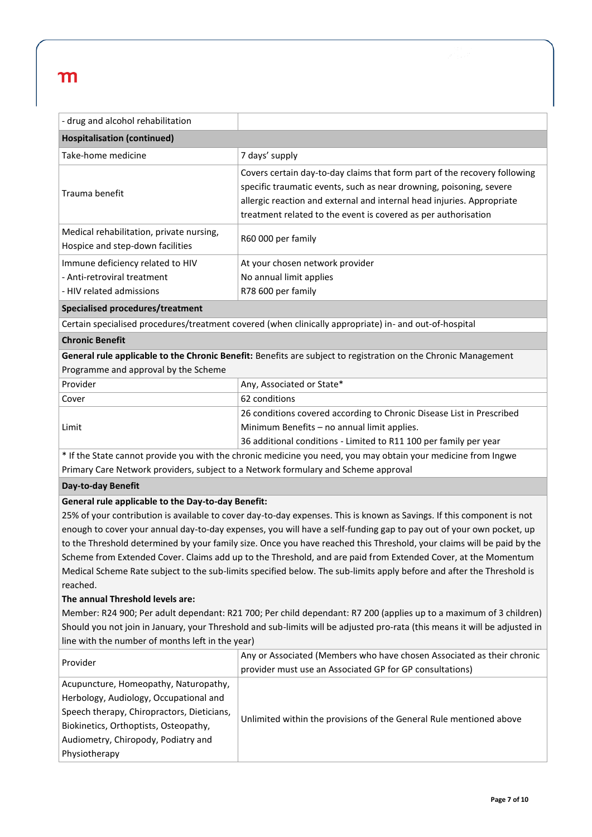| - drug and alcohol rehabilitation                                                                                                                                                                                                                                                                                                                                            |                                                                                                                                                                                                                                                                                              |  |  |  |
|------------------------------------------------------------------------------------------------------------------------------------------------------------------------------------------------------------------------------------------------------------------------------------------------------------------------------------------------------------------------------|----------------------------------------------------------------------------------------------------------------------------------------------------------------------------------------------------------------------------------------------------------------------------------------------|--|--|--|
| <b>Hospitalisation (continued)</b>                                                                                                                                                                                                                                                                                                                                           |                                                                                                                                                                                                                                                                                              |  |  |  |
| Take-home medicine                                                                                                                                                                                                                                                                                                                                                           | 7 days' supply                                                                                                                                                                                                                                                                               |  |  |  |
| Trauma benefit                                                                                                                                                                                                                                                                                                                                                               | Covers certain day-to-day claims that form part of the recovery following<br>specific traumatic events, such as near drowning, poisoning, severe<br>allergic reaction and external and internal head injuries. Appropriate<br>treatment related to the event is covered as per authorisation |  |  |  |
| Medical rehabilitation, private nursing,<br>Hospice and step-down facilities                                                                                                                                                                                                                                                                                                 | R60 000 per family                                                                                                                                                                                                                                                                           |  |  |  |
| Immune deficiency related to HIV<br>- Anti-retroviral treatment<br>- HIV related admissions                                                                                                                                                                                                                                                                                  | At your chosen network provider<br>No annual limit applies<br>R78 600 per family                                                                                                                                                                                                             |  |  |  |
| Specialised procedures/treatment                                                                                                                                                                                                                                                                                                                                             |                                                                                                                                                                                                                                                                                              |  |  |  |
|                                                                                                                                                                                                                                                                                                                                                                              | Certain specialised procedures/treatment covered (when clinically appropriate) in- and out-of-hospital                                                                                                                                                                                       |  |  |  |
| <b>Chronic Benefit</b>                                                                                                                                                                                                                                                                                                                                                       |                                                                                                                                                                                                                                                                                              |  |  |  |
| Programme and approval by the Scheme                                                                                                                                                                                                                                                                                                                                         | General rule applicable to the Chronic Benefit: Benefits are subject to registration on the Chronic Management                                                                                                                                                                               |  |  |  |
| Provider                                                                                                                                                                                                                                                                                                                                                                     | Any, Associated or State*                                                                                                                                                                                                                                                                    |  |  |  |
| Cover                                                                                                                                                                                                                                                                                                                                                                        | 62 conditions                                                                                                                                                                                                                                                                                |  |  |  |
| Limit                                                                                                                                                                                                                                                                                                                                                                        | 26 conditions covered according to Chronic Disease List in Prescribed<br>Minimum Benefits - no annual limit applies.<br>36 additional conditions - Limited to R11 100 per family per year                                                                                                    |  |  |  |
|                                                                                                                                                                                                                                                                                                                                                                              | * If the State cannot provide you with the chronic medicine you need, you may obtain your medicine from Ingwe                                                                                                                                                                                |  |  |  |
| Primary Care Network providers, subject to a Network formulary and Scheme approval                                                                                                                                                                                                                                                                                           |                                                                                                                                                                                                                                                                                              |  |  |  |
| Day-to-day Benefit                                                                                                                                                                                                                                                                                                                                                           |                                                                                                                                                                                                                                                                                              |  |  |  |
| General rule applicable to the Day-to-day Benefit:                                                                                                                                                                                                                                                                                                                           |                                                                                                                                                                                                                                                                                              |  |  |  |
|                                                                                                                                                                                                                                                                                                                                                                              | 25% of your contribution is available to cover day-to-day expenses. This is known as Savings. If this component is not                                                                                                                                                                       |  |  |  |
|                                                                                                                                                                                                                                                                                                                                                                              | enough to cover your annual day-to-day expenses, you will have a self-funding gap to pay out of your own pocket, up                                                                                                                                                                          |  |  |  |
| to the Threshold determined by your family size. Once you have reached this Threshold, your claims will be paid by the<br>Scheme from Extended Cover. Claims add up to the Threshold, and are paid from Extended Cover, at the Momentum<br>Medical Scheme Rate subject to the sub-limits specified below. The sub-limits apply before and after the Threshold is<br>reached. |                                                                                                                                                                                                                                                                                              |  |  |  |
| The annual Threshold levels are:                                                                                                                                                                                                                                                                                                                                             |                                                                                                                                                                                                                                                                                              |  |  |  |
| Member: R24 900; Per adult dependant: R21 700; Per child dependant: R7 200 (applies up to a maximum of 3 children)                                                                                                                                                                                                                                                           |                                                                                                                                                                                                                                                                                              |  |  |  |
| Should you not join in January, your Threshold and sub-limits will be adjusted pro-rata (this means it will be adjusted in                                                                                                                                                                                                                                                   |                                                                                                                                                                                                                                                                                              |  |  |  |
| line with the number of months left in the year)                                                                                                                                                                                                                                                                                                                             |                                                                                                                                                                                                                                                                                              |  |  |  |
| Provider                                                                                                                                                                                                                                                                                                                                                                     | Any or Associated (Members who have chosen Associated as their chronic<br>provider must use an Associated GP for GP consultations)                                                                                                                                                           |  |  |  |
| Acupuncture, Homeopathy, Naturopathy,<br>Herbology, Audiology, Occupational and<br>Speech therapy, Chiropractors, Dieticians,<br>Biokinetics, Orthoptists, Osteopathy,<br>Audiometry, Chiropody, Podiatry and<br>Physiotherapy                                                                                                                                               | Unlimited within the provisions of the General Rule mentioned above                                                                                                                                                                                                                          |  |  |  |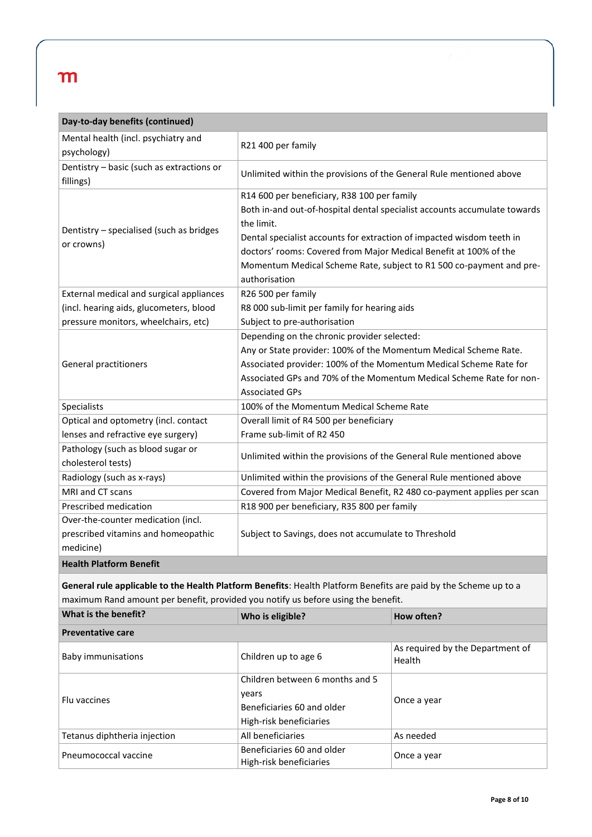| Day-to-day benefits (continued)                                                                                  |                                                                           |                                                                     |  |  |  |
|------------------------------------------------------------------------------------------------------------------|---------------------------------------------------------------------------|---------------------------------------------------------------------|--|--|--|
| Mental health (incl. psychiatry and                                                                              | R21 400 per family                                                        |                                                                     |  |  |  |
| psychology)                                                                                                      |                                                                           |                                                                     |  |  |  |
| Dentistry - basic (such as extractions or<br>fillings)                                                           | Unlimited within the provisions of the General Rule mentioned above       |                                                                     |  |  |  |
|                                                                                                                  | R14 600 per beneficiary, R38 100 per family                               |                                                                     |  |  |  |
|                                                                                                                  | Both in-and out-of-hospital dental specialist accounts accumulate towards |                                                                     |  |  |  |
| Dentistry - specialised (such as bridges                                                                         | the limit.                                                                |                                                                     |  |  |  |
| or crowns)                                                                                                       | Dental specialist accounts for extraction of impacted wisdom teeth in     |                                                                     |  |  |  |
|                                                                                                                  |                                                                           | doctors' rooms: Covered from Major Medical Benefit at 100% of the   |  |  |  |
|                                                                                                                  |                                                                           | Momentum Medical Scheme Rate, subject to R1 500 co-payment and pre- |  |  |  |
|                                                                                                                  | authorisation                                                             |                                                                     |  |  |  |
| External medical and surgical appliances                                                                         | R26 500 per family                                                        |                                                                     |  |  |  |
| (incl. hearing aids, glucometers, blood                                                                          | R8 000 sub-limit per family for hearing aids                              |                                                                     |  |  |  |
| pressure monitors, wheelchairs, etc)                                                                             | Subject to pre-authorisation                                              |                                                                     |  |  |  |
|                                                                                                                  | Depending on the chronic provider selected:                               |                                                                     |  |  |  |
|                                                                                                                  | Any or State provider: 100% of the Momentum Medical Scheme Rate.          |                                                                     |  |  |  |
| General practitioners                                                                                            | Associated provider: 100% of the Momentum Medical Scheme Rate for         |                                                                     |  |  |  |
|                                                                                                                  |                                                                           | Associated GPs and 70% of the Momentum Medical Scheme Rate for non- |  |  |  |
|                                                                                                                  | <b>Associated GPs</b>                                                     |                                                                     |  |  |  |
| Specialists                                                                                                      | 100% of the Momentum Medical Scheme Rate                                  |                                                                     |  |  |  |
| Optical and optometry (incl. contact                                                                             | Overall limit of R4 500 per beneficiary                                   |                                                                     |  |  |  |
| lenses and refractive eye surgery)                                                                               | Frame sub-limit of R2 450                                                 |                                                                     |  |  |  |
| Pathology (such as blood sugar or                                                                                | Unlimited within the provisions of the General Rule mentioned above       |                                                                     |  |  |  |
| cholesterol tests)                                                                                               |                                                                           |                                                                     |  |  |  |
| Radiology (such as x-rays)                                                                                       | Unlimited within the provisions of the General Rule mentioned above       |                                                                     |  |  |  |
| MRI and CT scans                                                                                                 | Covered from Major Medical Benefit, R2 480 co-payment applies per scan    |                                                                     |  |  |  |
| Prescribed medication                                                                                            |                                                                           | R18 900 per beneficiary, R35 800 per family                         |  |  |  |
| Over-the-counter medication (incl.                                                                               |                                                                           |                                                                     |  |  |  |
| prescribed vitamins and homeopathic                                                                              | Subject to Savings, does not accumulate to Threshold                      |                                                                     |  |  |  |
| medicine)                                                                                                        |                                                                           |                                                                     |  |  |  |
| <b>Health Platform Benefit</b>                                                                                   |                                                                           |                                                                     |  |  |  |
| General rule applicable to the Health Platform Benefits: Health Platform Benefits are paid by the Scheme up to a |                                                                           |                                                                     |  |  |  |
| maximum Rand amount per benefit, provided you notify us before using the benefit.                                |                                                                           |                                                                     |  |  |  |
| What is the benefit?                                                                                             | Who is eligible?                                                          | How often?                                                          |  |  |  |
| <b>Preventative care</b>                                                                                         |                                                                           |                                                                     |  |  |  |
| <b>Baby immunisations</b>                                                                                        | Children up to age 6                                                      | As required by the Department of<br>Health                          |  |  |  |
|                                                                                                                  | Children between 6 months and 5                                           |                                                                     |  |  |  |
|                                                                                                                  | years                                                                     |                                                                     |  |  |  |
| Flu vaccines                                                                                                     | Beneficiaries 60 and older                                                | Once a year                                                         |  |  |  |
|                                                                                                                  | High-risk beneficiaries                                                   |                                                                     |  |  |  |
| Tetanus diphtheria injection                                                                                     | All beneficiaries                                                         | As needed                                                           |  |  |  |

Beneficiaries bu and older<br>High-risk beneficiaries **Once a** year

Pneumococcal vaccine Beneficiaries 60 and older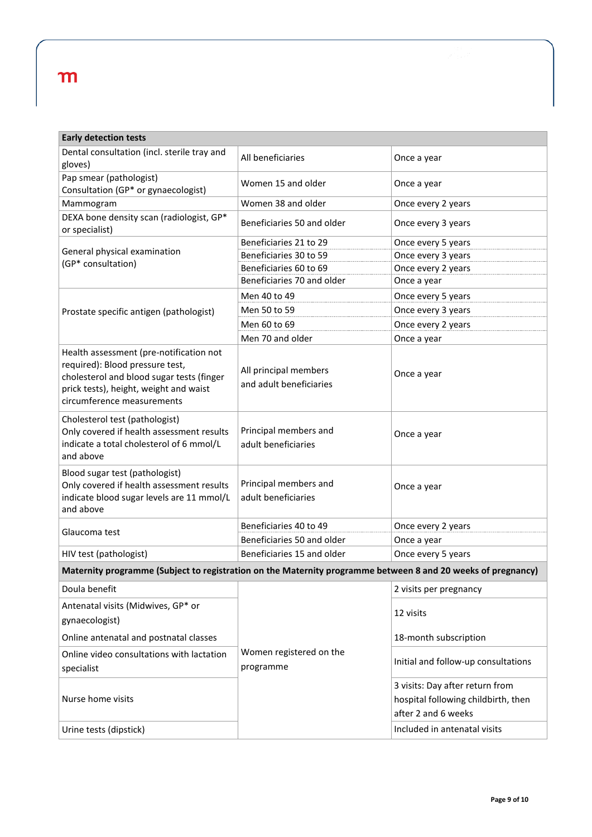| <b>Early detection tests</b>                                                                                                                                                                    |                                                  |                                                                                               |  |  |  |
|-------------------------------------------------------------------------------------------------------------------------------------------------------------------------------------------------|--------------------------------------------------|-----------------------------------------------------------------------------------------------|--|--|--|
| Dental consultation (incl. sterile tray and                                                                                                                                                     | All beneficiaries                                | Once a year                                                                                   |  |  |  |
| gloves)                                                                                                                                                                                         |                                                  |                                                                                               |  |  |  |
| Pap smear (pathologist)<br>Consultation (GP* or gynaecologist)                                                                                                                                  | Women 15 and older                               | Once a year                                                                                   |  |  |  |
| Mammogram                                                                                                                                                                                       | Women 38 and older                               | Once every 2 years                                                                            |  |  |  |
| DEXA bone density scan (radiologist, GP*<br>or specialist)                                                                                                                                      | Beneficiaries 50 and older                       | Once every 3 years                                                                            |  |  |  |
|                                                                                                                                                                                                 | Beneficiaries 21 to 29                           | Once every 5 years                                                                            |  |  |  |
| General physical examination<br>(GP* consultation)                                                                                                                                              | Beneficiaries 30 to 59                           | Once every 3 years                                                                            |  |  |  |
|                                                                                                                                                                                                 | Beneficiaries 60 to 69                           | Once every 2 years                                                                            |  |  |  |
|                                                                                                                                                                                                 | Beneficiaries 70 and older                       | Once a year                                                                                   |  |  |  |
|                                                                                                                                                                                                 | Men 40 to 49                                     | Once every 5 years                                                                            |  |  |  |
| Prostate specific antigen (pathologist)                                                                                                                                                         | Men 50 to 59                                     | Once every 3 years                                                                            |  |  |  |
|                                                                                                                                                                                                 | Men 60 to 69                                     | Once every 2 years                                                                            |  |  |  |
|                                                                                                                                                                                                 | Men 70 and older                                 | Once a year                                                                                   |  |  |  |
| Health assessment (pre-notification not<br>required): Blood pressure test,<br>cholesterol and blood sugar tests (finger<br>prick tests), height, weight and waist<br>circumference measurements | All principal members<br>and adult beneficiaries | Once a year                                                                                   |  |  |  |
| Cholesterol test (pathologist)<br>Only covered if health assessment results<br>indicate a total cholesterol of 6 mmol/L<br>and above                                                            | Principal members and<br>adult beneficiaries     | Once a year                                                                                   |  |  |  |
| Blood sugar test (pathologist)<br>Only covered if health assessment results<br>indicate blood sugar levels are 11 mmol/L<br>and above                                                           | Principal members and<br>adult beneficiaries     | Once a year                                                                                   |  |  |  |
| Glaucoma test                                                                                                                                                                                   | Beneficiaries 40 to 49                           | Once every 2 years                                                                            |  |  |  |
|                                                                                                                                                                                                 | Beneficiaries 50 and older                       | Once a year                                                                                   |  |  |  |
| HIV test (pathologist)                                                                                                                                                                          | Beneficiaries 15 and older                       | Once every 5 years                                                                            |  |  |  |
| Maternity programme (Subject to registration on the Maternity programme between 8 and 20 weeks of pregnancy)                                                                                    |                                                  |                                                                                               |  |  |  |
| Doula benefit                                                                                                                                                                                   |                                                  | 2 visits per pregnancy                                                                        |  |  |  |
| Antenatal visits (Midwives, GP* or<br>gynaecologist)                                                                                                                                            |                                                  | 12 visits                                                                                     |  |  |  |
| Online antenatal and postnatal classes                                                                                                                                                          |                                                  | 18-month subscription                                                                         |  |  |  |
| Online video consultations with lactation<br>specialist                                                                                                                                         | Women registered on the<br>programme             | Initial and follow-up consultations                                                           |  |  |  |
| Nurse home visits                                                                                                                                                                               |                                                  | 3 visits: Day after return from<br>hospital following childbirth, then<br>after 2 and 6 weeks |  |  |  |
| Urine tests (dipstick)                                                                                                                                                                          |                                                  | Included in antenatal visits                                                                  |  |  |  |